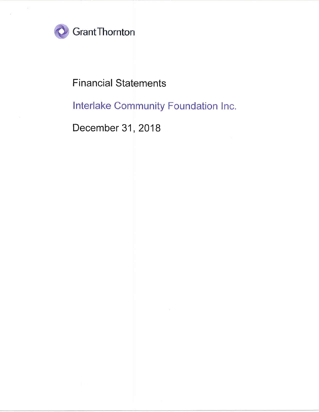

# Financial Statements

Interlake Community Foundation Inc.

December 31, 2018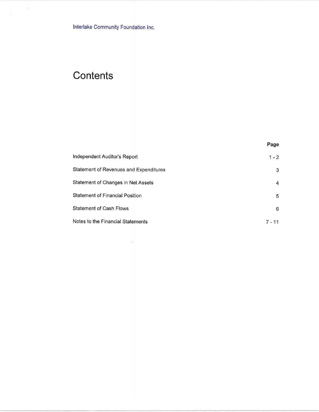## **Contents**

 $\sim 10^{11}$ 

 $\geq$ 

| Independent Auditor's Report           | $1 - 2$ |
|----------------------------------------|---------|
| Statement of Revenues and Expenditures | 3       |
| Statement of Changes in Net Assets     | 4       |
| Statement of Financial Position        | 5       |
| Statement of Cash Flows                | 6       |
| Notes to the Financial Statements      | 7 - 11  |

Page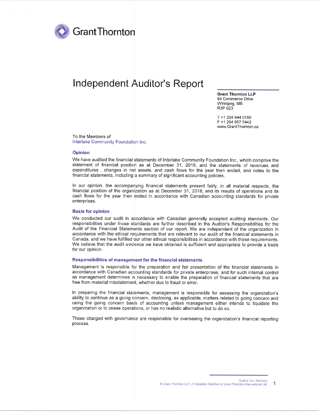

## <sup>I</sup>ndependent Auditor's Report

Grant Thornton LLP 94 Commerce Drive Winnipeg, MB R3P OZ3

T +1 204 944 0100 F +1 204 957 5442 www. GrantThornton.ca

To the Members of Interlake Community Foundation Inc.

#### Opinion

We have audited the financial statements of Interlake Community Foundation Inc,, which comprise the statement of financial position as at December 31, 2018, and the statements of revenues and expenditures , changes in net assets, and cash flows for the year then ended, and notes to the financial statements, including a summary of significant accounting policies.

In our opinion, the accompanying financial statements present fairly, in all material respects, the financial position of the organization as at December 31, 2018, and its results of operations and its cash flows for the year then ended in accordance with Canadian accounting standards for private enterorises.

#### Basis for opinion

We conducted our audit in accordance with Canadian generally accepted auditing standards. Our responsibilities under those standards are further described in the Auditor's Responsibilities for the Audit of the Financial Statements section of our report. We are independent of the organization in accordance with the ethical requirements that are relevant to our audit of the financial statements in Canada, and we have fulfilled our other ethical responsibilities in accordance with these requirements. We believe that the audit eviclence we have obtained is sufficient and appropriate to provide a basis for our opinion.

#### Responsibilities of management for the financial statements

Management is responsible for the preparation and fair presentation of the financial statements in accordance with Canadian accounting standards for private enterprises, and for such internal control as management determines is necessary to enable the preparation of financial statements that are free from material misstatement, whether due to fraud or error.

In preparing the financial stalements, management is responsible for assessing the organization's ability to continue as a going concern, disclosing, as applicable, matters related to going concern and using the going concern basis of accounting unless management either intends to liquidate the organization or to cease operations, or has no realistic alternative but to do so.

Those charged with governance are responsible for overseeing the organization's financial reporting process.

Audit | Tax | Advisory 1 © Grant Thornton LLP, A Canadian Member of Grant Thornton International Ltd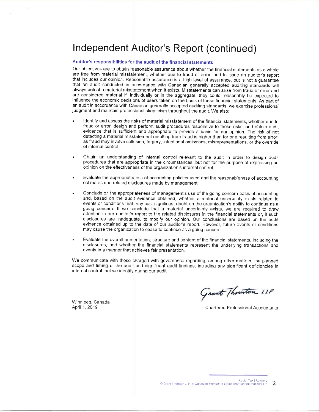## Independent Auditor's Report (continued)

#### Auditor's responsibilities for the audit of the financial statements

Our objectives are to obtain reasonable assurance about whether the financial statements as a whole are free from material misstatement, whether due to fraud or error, and to issue an auditor's report that includes our opinion. Reasonable assurance is a high level of assurance, but is not a quarantee that an audit conducted in accordance with Canadian generally accepted auditing standards will always detect a material misstatement when it exists. Misstatements can arise from fraud or error and are considered material if, individually or in the aggregate, they could reasonably be expected to influence the economic decisions of users taken on the basis of these financial statements. As part of an audit in accordance with Canadian generally accepted auditing standards, we exercise professional judgment and maintain professional skepticism throughout the audit. We also:

- Identify and assess the risks of material misstatement of the financial statements, whether due to fraud or error, design and perform audit procedures responsive to those risks, and obtain audit evidence that is sufficient and appropriate to provide a basis for our opinion. The risk of not detecting a material misstatement resulting from fraud is higher than for one resulting from error, as fraud may involve collusion, forgery, intentional omissions, misrepresentations, or the override of internal control
- . Obtain an understanding of internal control relevant to the audit in order to design audit procedures that are appropriate in the circumstances, but not for the purpose of expressing an opinion on the effectiveness of the organization's internal control.
- . Evaluate the appropriateness of accounting policies used and the reasonableness of accounting estimates and related disclosures made by management.
- Conclude on the appropriateness of management's use of the going concern basis of accounting and, based on the audit evidence obtained, whether a material uncertainty exists related to events or conditions that may cast significant doubt on the organization's ability to continue as a going concern. If we conclude that a material uncertainty exists, we are required to draw attention in our auditor's report to the related disclosures in the financial statements or, if such disclosures are inadequate, to modify our opinion. Our conclusions are based on the audit evidence obtained up to the date of our auditor's report. However, future events or conditions may cause the organization to cease to continue as a going concern.
- . Evaluate the overall presentation, structure and content of the financial statements, including the disclosures, and whether the financial statements represent the underlying transactions and events in a manner that achieves fair presentation.

We communicate with those charged with governance regarding, among other matters, the planned scope and timing of the audit and significant audit findings, including any significant deficiencies in internal control that we identifv durinq our audit.

Grant Thouston LLP

April 1, 2019 **Chartered Professional Accountants** 

Winnipeg, Canada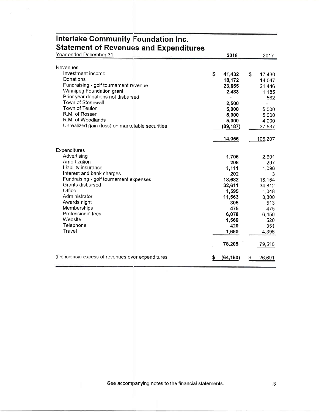| <b>Statement of Revenues and Expenditures</b>     |    |                         |              |
|---------------------------------------------------|----|-------------------------|--------------|
| Year ended December 31                            |    | 2018                    | 2017         |
| Revenues                                          |    |                         |              |
| Investment income                                 | \$ |                         | \$           |
| Donations                                         |    | 41,432                  | 17,430       |
| Fundraising - golf tournament revenue             |    | 18,172                  | 14,047       |
| Winnipeg Foundation grant                         |    | 23,655<br>2,483         | 21,446       |
| Prior year donations not disbursed                |    |                         | 1,185        |
| Town of Stonewall                                 |    | $\blacksquare$<br>2,500 | 562          |
| Town of Teulon                                    |    | 5,000                   | 5,000        |
| R.M. of Rosser                                    |    | 5,000                   | 5,000        |
| R.M. of Woodlands                                 |    | 5,000                   | 4,000        |
| Unrealized gain (loss) on marketable securities   |    | (89, 187)               | 37,537       |
|                                                   |    |                         |              |
|                                                   |    | 14,055                  | 106,207      |
|                                                   |    |                         |              |
| Expenditures                                      |    |                         |              |
| Advertising                                       |    | 1,705                   | 2,601        |
| Amortization                                      |    | 208                     | 297          |
| Liability insurance                               |    | 1,111                   | 1,096        |
| Interest and bank charges                         |    | 202                     | 3            |
| Fundraising - golf tournament expenses            |    | 18,682                  | 18,154       |
| Grants disbursed                                  |    | 32,611                  | 34,812       |
| Office                                            |    | 1,595                   | 1,048        |
| Administrator                                     |    | 11,563                  | 8,800        |
| Awards night                                      |    | 305                     | 513          |
| Memberships                                       |    | 475                     | 475          |
| Professional fees                                 |    | 6,078                   | 6,450        |
| Website                                           |    | 1,560                   | 520          |
| Telephone                                         |    | 420                     | 351          |
| Travel                                            |    | 1,690                   | 4,396        |
|                                                   |    | 78,205                  | 79,516       |
| (Deficiency) excess of revenues over expenditures | S  | (64, 150)               | \$<br>26,691 |

# **Interlake Community Foundation Inc.**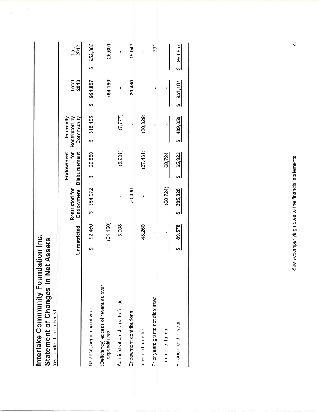| Interlake Community Foundation Inc. |
|-------------------------------------|
| Statement of Changes in Net Assets  |
| Year ended December 31              |

|                                                      |    | Unrestricted | Endowment Disbursement<br>Restricted for |   | Endowment<br>tor | Restricted by<br>Internally<br>Community | 2018<br><b>Total</b> |    | 2017<br>Total |
|------------------------------------------------------|----|--------------|------------------------------------------|---|------------------|------------------------------------------|----------------------|----|---------------|
| Balance, beginning of year                           | မာ | 92,460       | \$ 354,072                               | ക | 29,860           | \$518,465                                | \$994,857            | မာ | 952,386       |
| (Deficiency) excess of revenues over<br>expenditures |    | (64, 150)    |                                          |   |                  |                                          | (64, 150)            |    | 26,691        |
| Administration charge to funds                       |    | 13,008       |                                          |   | (5,231)          | (7, 777)                                 |                      |    |               |
| Endowment contributions                              |    |              | 20,480                                   |   |                  |                                          | 20,480               |    | 15,049        |
| Interfund transfer                                   |    | 48,260       |                                          |   | (27, 431)        | (20, 829)                                |                      |    |               |
| Prior years grants not disbursed                     |    |              |                                          |   |                  |                                          |                      |    | 731           |
| Transfer of funds                                    |    |              | (68, 724)                                |   | 68,724           |                                          |                      |    |               |
| Balance, end of year                                 | ക  | 89,578       | \$305,828                                | ų | 65,922           | \$ 489,859                               | \$951,187            | s, | 994,857       |

See accompanying notes to the financial statements.

4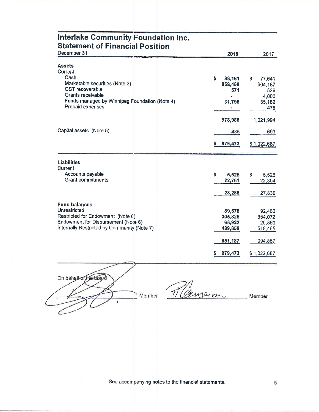| Interlake Community Foundation Inc.<br><b>Statement of Financial Position</b> |              |                 |
|-------------------------------------------------------------------------------|--------------|-----------------|
| December 31                                                                   | 2018         | 2017            |
| <b>Assets</b><br>Current                                                      |              |                 |
| Cash                                                                          | \$<br>88,161 | \$<br>77,641    |
| Marketable securities (Note 3)                                                | 858,458      | 904,167         |
| <b>GST</b> recoverable<br>Grants receivable                                   | 571          | 529             |
| Funds managed by Winnipeg Foundation (Note 4)                                 | 31,798       | 4,000<br>35,182 |
| Prepaid expenses                                                              |              | 475             |
|                                                                               |              |                 |
|                                                                               | 978,988      | 1,021,994       |
| Capital assets (Note 5)                                                       | 485          | 693             |
|                                                                               | 979,473      | \$1,022,687     |
|                                                                               |              |                 |
| <b>Liabilities</b><br>Current                                                 |              |                 |
| Accounts payable                                                              | \$<br>5,525  | \$<br>5,526     |
| <b>Grant commitments</b>                                                      | 22,761       | 22,304          |
|                                                                               |              |                 |
|                                                                               | 28,286       | 27,830          |
| <b>Fund balances</b>                                                          |              |                 |
| Unrestricted                                                                  | 89,578       | 92,460          |
| Restricted for Endowment (Note 6)                                             | 305,828      | 354,072         |
| Endowment for Disbursement (Note 6)                                           | 65,922       | 29,860          |
| Internally Restricted by Community (Note 7)                                   | 489,859      | 518,465         |
|                                                                               | 951,187      | 994,857         |
|                                                                               | 979,473      | \$1,022,687     |

On behalf of the board Member ï

Maryeran Member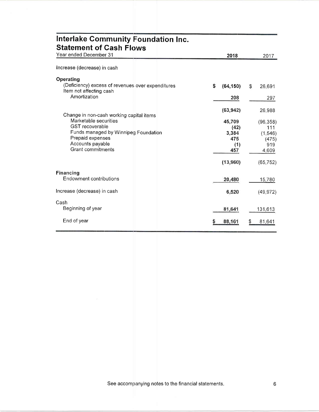| Interlake Community Foundation Inc.<br><b>Statement of Cash Flows</b>                     |                 |            |           |
|-------------------------------------------------------------------------------------------|-----------------|------------|-----------|
| Year ended December 31                                                                    |                 | 2018       | 2017      |
| Increase (decrease) in cash                                                               |                 |            |           |
| Operating<br>(Deficiency) excess of revenues over expenditures<br>Item not affecting cash | \$<br>(64, 150) | S          | 26,691    |
| Amortization                                                                              |                 | 208        | 297       |
| Change in non-cash working capital items                                                  | (63, 942)       |            | 26,988    |
| Marketable securities                                                                     | 45,709          |            | (96, 358) |
| <b>GST</b> recoverable                                                                    |                 | (42)       | 111       |
| Funds managed by Winnipeg Foundation                                                      |                 | 3,384      | (1,546)   |
| Prepaid expenses<br>Accounts payable                                                      |                 | 475        | (475)     |
| Grant commitments                                                                         |                 | (1)<br>457 | 919       |
|                                                                                           |                 |            | 4,609     |
|                                                                                           | (13,960)        |            | (65, 752) |
| Financing                                                                                 |                 |            |           |
| Endowment contributions                                                                   | 20,480          |            | 15,780    |
|                                                                                           |                 |            |           |
| Increase (decrease) in cash                                                               |                 | 6,520      | (49, 972) |
| Cash                                                                                      |                 |            |           |
| Beginning of year                                                                         | 81,641          |            | 131,613   |
| End of year                                                                               | 88,161          |            | 81,641    |

## See accompanying notes to the financial statements.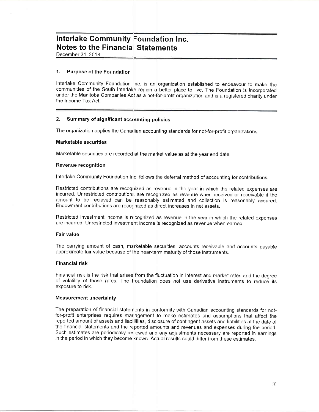December 31,2018

#### 1. Purpose of the Foundation

Interlake Community Foundation Inc. is an organization established to endeavour to make the communities of the South Interlake region a better place to live. The Foundation is incorporated under the Manitoba Companies Act as a not-for-profit organization and is a registered charity under the Income Tax Act.

### 2. Summary of significant accounting policies

The organization applies the Canadian accounting standards for not-for-profit organizations.

#### Marketable securities

Marketable securities are recorded at the market value as at the year end date.

#### Revenue recognition

Interlake Community Foundation Inc. follows the deferral method of accounting for contributions.

Restricted contributions are recognized as revenue in the year in which the relaied expenses are incurred. Unrestricted contributions are recognized as revenue when received or receivable if the amount to be recieved can be reasonably estirnated and collection is reasonably assured. Endowment contributions are recognized as direct increases in net assets.

Restricted investment income is recognized as revenue in the year in which the related expenses are incurred. Unrestricted investment income is recognized as revenue when earned.

#### Fair value

The carrying amount of cash, marketable securities, accounts receivable and accounts payable approximate fair value because of the near-term maturity of those instruments.

#### Financial risk

Financial risk is the risk that arises from the fluctuation in interest and market rates and the degree of volatility of those rates. The Foundation does not use derivative instruments to reduce its exposure to risk.

#### **Measurement uncertainty**

The preparation of financial statements in conformity with Canadian accounting standards for notfor-profit enterprises requires management to make estimates and assumptions that affect the reported amount of assets and liabilitlies, disclosure of contingent assets and liabilities at the date of the financial statements and the reported amounts and revenues and expenses during the period. Such estimates are periodically reviewed and any adjustments necessary are reported in earnings in the period in which they become known. Actual results could differ from these estimates.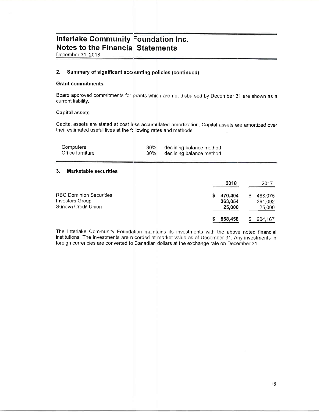December 31.2018

#### 2. Summary of significant accounting policies (continued)

#### Grant commitments

Board approved commitments for grants which are not disbursed by December 31 are shown as a current liability.

#### Capital assets

Capital assets are stated at cost less accumulated amortization. Capital assets are amortized over their estimated useful lives at the following rates and methods:

| Computers<br>Office furniture                                     | $30\%$<br>30% | declining balance method<br>declining balance method |                                   |
|-------------------------------------------------------------------|---------------|------------------------------------------------------|-----------------------------------|
| <b>Marketable securities</b><br>3.                                |               |                                                      |                                   |
|                                                                   |               | 2018                                                 | 2017                              |
| RBC Dominion Securities<br>Investors Group<br>Sunova Credit Union |               | S<br>470,404<br>363,054<br>25,000                    | 488,075<br>S<br>391,092<br>25,000 |

The Interlake Community Foundation maintains its investments with the above noted financial institutions. The investments are recorded at market value as at December 31. Any investments in foreign currencies are converted to Canadian dollars at the exchange rate on December 31.

 $$858,458$   $$904,167$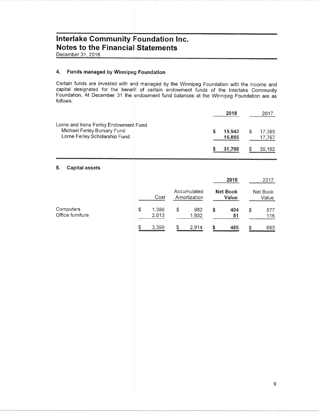December 31, 2018

#### 4. **Funds managed by Winnipeg Foundation**

Certain funds are invested with and managed by the Winnipeg Foundation with the income and capital designated for the benefit of certain endowment funds of the Interlake Community Foundation. At December 31 the endowment fund balances at the Winnipeg Foundation are as follows:

|                                                                                                       | 2018             | 2017            |
|-------------------------------------------------------------------------------------------------------|------------------|-----------------|
| Lorne and Irene Ferley Endowment Fund<br>Michael Ferley Bursary Fund<br>Lorne Ferley Scholarship Fund | 15,943<br>15,855 | 17,385<br>7.797 |
|                                                                                                       | 31,798           | 35,182          |

#### 5. Capital assets

|                               |                      |                             |   | 2018              |    | 2017              |
|-------------------------------|----------------------|-----------------------------|---|-------------------|----|-------------------|
|                               | Cost                 | Accumulated<br>Amortization |   | Net Book<br>Value |    | Net Book<br>Value |
| Computers<br>Office furniture | \$<br>1,386<br>2,013 | \$<br>982<br>1,932          | S | 404<br>81         | \$ | 577<br>116        |
|                               | \$<br>3,399          | 2,914                       |   | 485               | S  | 693               |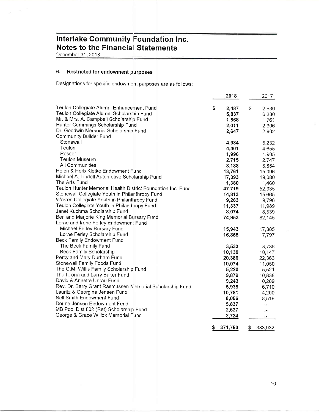December 31, 2018

#### Restricted for endowment purposes 6.

Designations for specific endowment purposes are as follows:

|                                                             | 2018          | 2017           |
|-------------------------------------------------------------|---------------|----------------|
| Teulon Collegiate Alumni Enhancement Fund                   | \$<br>2,487   | \$             |
| Teulon Collegiate Alumni Scholarship Fund                   | 5,837         | 2,630<br>6,280 |
| Mr. & Mrs. A. Campbell Scholarship Fund                     | 1,568         | 1,761          |
| Hunter Cummings Scholarship Fund                            | 2,011         | 2,306          |
| Dr. Goodwin Memorial Scholarship Fund                       | 2,647         | 2,902          |
| <b>Community Builder Fund</b>                               |               |                |
| Stonewall                                                   | 4,984         |                |
| Teulon                                                      | 4,401         | 5,232          |
| Rosser                                                      | 1,996         | 4,655          |
| <b>Teulon Museum</b>                                        |               | 1,905          |
| <b>All Communities</b>                                      | 2,715         | 2,747          |
| Helen & Herb Kletke Endowment Fund                          | 8,188         | 8,854          |
| Michael A. Lindell Automotive Scholarship Fund              | 13,761        | 15,096         |
| The Arts Fund                                               | 17,393        | 19,080         |
|                                                             | 1,380         | 1,460          |
| Teulon Hunter Memorial Health District Foundation Inc. Fund | 47,719        | 52,335         |
| Stonewall Collegiate Youth in Philanthropy Fund             | 14,813        | 15,665         |
| Warren Collegiate Youth in Philanthropy Fund                | 9,263         | 9,796          |
| Teulon Collegiate Youth in Philanthropy Fund                | 11,337        | 11,989         |
| Janet Kuchma Scholarship Fund                               | 8,074         | 8,539          |
| Ben and Marjorie King Memorial Bursary Fund                 | 74,953        | 82,145         |
| Lorne and Irene Ferley Endowment Fund                       |               |                |
| Michael Ferley Bursary Fund                                 | 15,943        | 17,385         |
| Lorne Ferley Scholarship Fund                               | 15,855        | 17,797         |
| Beck Family Endowment Fund                                  |               |                |
| The Beck Family Fund                                        | 3,533         | 3,736          |
| Beck Family Scholarship                                     | 10,130        | 10,147         |
| Percy and Mary Durham Fund                                  | 20,386        | 22,363         |
| Stonewall Family Foods Fund                                 | 10,074        | 11,050         |
| The G.M. Willis Family Scholarship Fund                     | 5,220         | 5,521          |
| The Leona and Larry Baker Fund                              | 9,879         | 10,838         |
| David & Annette Unrau Fund                                  | 9,243         | 10,289         |
| Rev. Dr. Barry Grant Rasmussen Memorial Scholarship Fund    | 5,935         | 6,710          |
| Lauritz & Georgina Jensen Fund                              | 10,781        | 4,200          |
| Nell Smith Endowment Fund                                   | 8,056         | 8,519          |
| Donna Jensen Endowment Fund                                 | 5,837         | i.             |
| MB Pool Dist 802 (Ret) Scholarship Fund                     | 2,627         |                |
| George & Grace Willox Memorial Fund                         | 2,724         |                |
|                                                             | \$<br>371,750 | \$<br>383,932  |